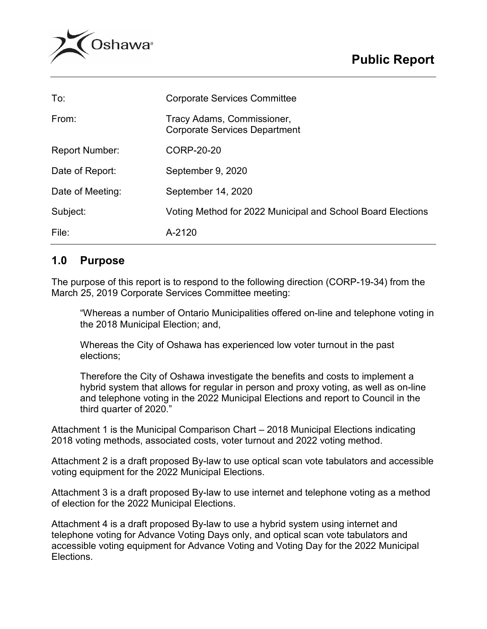



| To:                   | <b>Corporate Services Committee</b>                                |  |  |
|-----------------------|--------------------------------------------------------------------|--|--|
| From:                 | Tracy Adams, Commissioner,<br><b>Corporate Services Department</b> |  |  |
| <b>Report Number:</b> | CORP-20-20                                                         |  |  |
| Date of Report:       | September 9, 2020                                                  |  |  |
| Date of Meeting:      | September 14, 2020                                                 |  |  |
| Subject:              | Voting Method for 2022 Municipal and School Board Elections        |  |  |
| File:                 | A-2120                                                             |  |  |

### **1.0 Purpose**

The purpose of this report is to respond to the following direction (CORP-19-34) from the March 25, 2019 Corporate Services Committee meeting:

"Whereas a number of Ontario Municipalities offered on-line and telephone voting in the 2018 Municipal Election; and,

Whereas the City of Oshawa has experienced low voter turnout in the past elections;

Therefore the City of Oshawa investigate the benefits and costs to implement a hybrid system that allows for regular in person and proxy voting, as well as on-line and telephone voting in the 2022 Municipal Elections and report to Council in the third quarter of 2020."

Attachment 1 is the Municipal Comparison Chart – 2018 Municipal Elections indicating 2018 voting methods, associated costs, voter turnout and 2022 voting method.

Attachment 2 is a draft proposed By-law to use optical scan vote tabulators and accessible voting equipment for the 2022 Municipal Elections.

Attachment 3 is a draft proposed By-law to use internet and telephone voting as a method of election for the 2022 Municipal Elections.

Attachment 4 is a draft proposed By-law to use a hybrid system using internet and telephone voting for Advance Voting Days only, and optical scan vote tabulators and accessible voting equipment for Advance Voting and Voting Day for the 2022 Municipal Elections.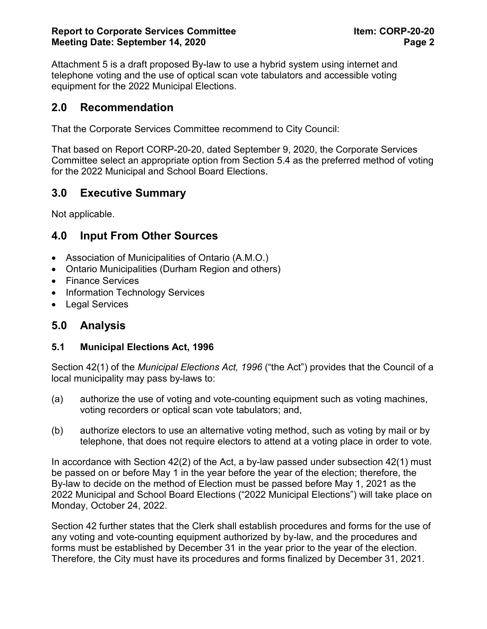Attachment 5 is a draft proposed By-law to use a hybrid system using internet and telephone voting and the use of optical scan vote tabulators and accessible voting equipment for the 2022 Municipal Elections.

### **2.0 Recommendation**

That the Corporate Services Committee recommend to City Council:

That based on Report CORP-20-20, dated September 9, 2020, the Corporate Services Committee select an appropriate option from Section 5.4 as the preferred method of voting for the 2022 Municipal and School Board Elections.

## **3.0 Executive Summary**

Not applicable.

## **4.0 Input From Other Sources**

- Association of Municipalities of Ontario (A.M.O.)
- Ontario Municipalities (Durham Region and others)
- Finance Services
- Information Technology Services
- Legal Services

### **5.0 Analysis**

#### **5.1 Municipal Elections Act, 1996**

Section 42(1) of the *Municipal Elections Act, 1996* ("the Act") provides that the Council of a local municipality may pass by-laws to:

- (a) authorize the use of voting and vote-counting equipment such as voting machines, voting recorders or optical scan vote tabulators; and,
- (b) authorize electors to use an alternative voting method, such as voting by mail or by telephone, that does not require electors to attend at a voting place in order to vote.

In accordance with Section 42(2) of the Act, a by-law passed under subsection 42(1) must be passed on or before May 1 in the year before the year of the election; therefore, the By-law to decide on the method of Election must be passed before May 1, 2021 as the 2022 Municipal and School Board Elections ("2022 Municipal Elections") will take place on Monday, October 24, 2022.

Section 42 further states that the Clerk shall establish procedures and forms for the use of any voting and vote-counting equipment authorized by by-law, and the procedures and forms must be established by December 31 in the year prior to the year of the election. Therefore, the City must have its procedures and forms finalized by December 31, 2021.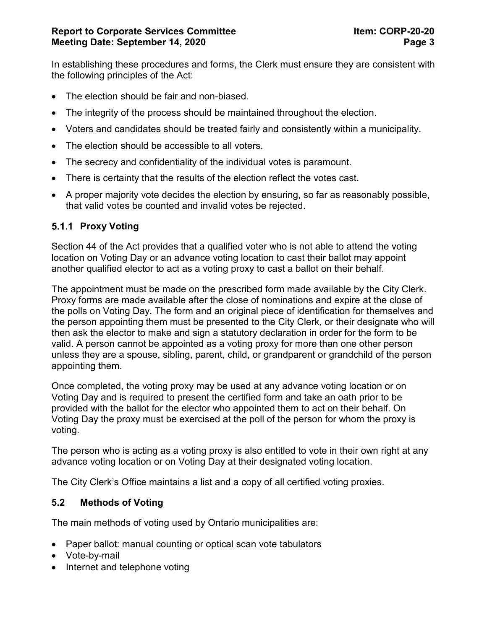In establishing these procedures and forms, the Clerk must ensure they are consistent with the following principles of the Act:

- The election should be fair and non-biased.
- The integrity of the process should be maintained throughout the election.
- Voters and candidates should be treated fairly and consistently within a municipality.
- The election should be accessible to all voters.
- The secrecy and confidentiality of the individual votes is paramount.
- There is certainty that the results of the election reflect the votes cast.
- A proper majority vote decides the election by ensuring, so far as reasonably possible, that valid votes be counted and invalid votes be rejected.

### **5.1.1 Proxy Voting**

Section 44 of the Act provides that a qualified voter who is not able to attend the voting location on Voting Day or an advance voting location to cast their ballot may appoint another qualified elector to act as a voting proxy to cast a ballot on their behalf.

The appointment must be made on the prescribed form made available by the City Clerk. Proxy forms are made available after the close of nominations and expire at the close of the polls on Voting Day. The form and an original piece of identification for themselves and the person appointing them must be presented to the City Clerk, or their designate who will then ask the elector to make and sign a statutory declaration in order for the form to be valid. A person cannot be appointed as a voting proxy for more than one other person unless they are a spouse, sibling, parent, child, or grandparent or grandchild of the person appointing them.

Once completed, the voting proxy may be used at any advance voting location or on Voting Day and is required to present the certified form and take an oath prior to be provided with the ballot for the elector who appointed them to act on their behalf. On Voting Day the proxy must be exercised at the poll of the person for whom the proxy is voting.

The person who is acting as a voting proxy is also entitled to vote in their own right at any advance voting location or on Voting Day at their designated voting location.

The City Clerk's Office maintains a list and a copy of all certified voting proxies.

#### **5.2 Methods of Voting**

The main methods of voting used by Ontario municipalities are:

- Paper ballot: manual counting or optical scan vote tabulators
- Vote-by-mail
- Internet and telephone voting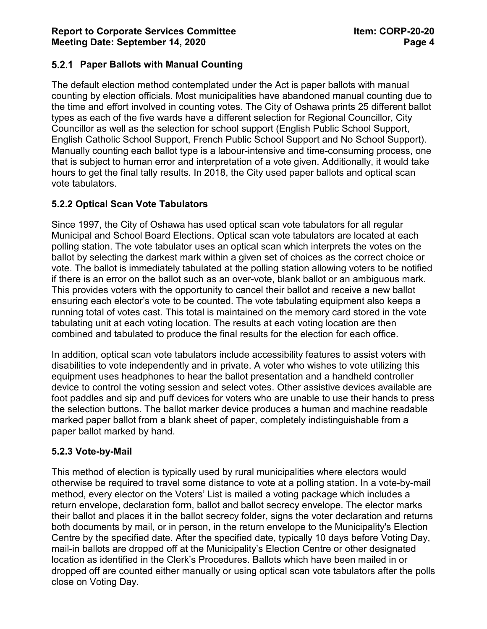### **Paper Ballots with Manual Counting**

The default election method contemplated under the Act is paper ballots with manual counting by election officials. Most municipalities have abandoned manual counting due to the time and effort involved in counting votes. The City of Oshawa prints 25 different ballot types as each of the five wards have a different selection for Regional Councillor, City Councillor as well as the selection for school support (English Public School Support, English Catholic School Support, French Public School Support and No School Support). Manually counting each ballot type is a labour-intensive and time-consuming process, one that is subject to human error and interpretation of a vote given. Additionally, it would take hours to get the final tally results. In 2018, the City used paper ballots and optical scan vote tabulators.

#### **5.2.2 Optical Scan Vote Tabulators**

Since 1997, the City of Oshawa has used optical scan vote tabulators for all regular Municipal and School Board Elections. Optical scan vote tabulators are located at each polling station. The vote tabulator uses an optical scan which interprets the votes on the ballot by selecting the darkest mark within a given set of choices as the correct choice or vote. The ballot is immediately tabulated at the polling station allowing voters to be notified if there is an error on the ballot such as an over-vote, blank ballot or an ambiguous mark. This provides voters with the opportunity to cancel their ballot and receive a new ballot ensuring each elector's vote to be counted. The vote tabulating equipment also keeps a running total of votes cast. This total is maintained on the memory card stored in the vote tabulating unit at each voting location. The results at each voting location are then combined and tabulated to produce the final results for the election for each office.

In addition, optical scan vote tabulators include accessibility features to assist voters with disabilities to vote independently and in private. A voter who wishes to vote utilizing this equipment uses headphones to hear the ballot presentation and a handheld controller device to control the voting session and select votes. Other assistive devices available are foot paddles and sip and puff devices for voters who are unable to use their hands to press the selection buttons. The ballot marker device produces a human and machine readable marked paper ballot from a blank sheet of paper, completely indistinguishable from a paper ballot marked by hand.

#### **5.2.3 Vote-by-Mail**

This method of election is typically used by rural municipalities where electors would otherwise be required to travel some distance to vote at a polling station. In a vote-by-mail method, every elector on the Voters' List is mailed a voting package which includes a return envelope, declaration form, ballot and ballot secrecy envelope. The elector marks their ballot and places it in the ballot secrecy folder, signs the voter declaration and returns both documents by mail, or in person, in the return envelope to the Municipality's Election Centre by the specified date. After the specified date, typically 10 days before Voting Day, mail-in ballots are dropped off at the Municipality's Election Centre or other designated location as identified in the Clerk's Procedures. Ballots which have been mailed in or dropped off are counted either manually or using optical scan vote tabulators after the polls close on Voting Day.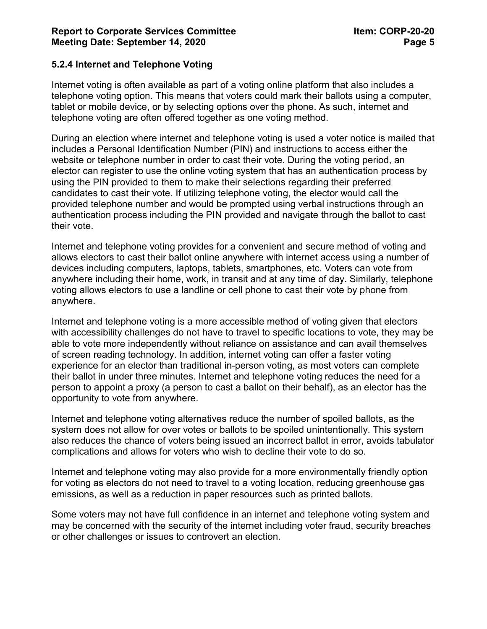#### **5.2.4 Internet and Telephone Voting**

Internet voting is often available as part of a voting online platform that also includes a telephone voting option. This means that voters could mark their ballots using a computer, tablet or mobile device, or by selecting options over the phone. As such, internet and telephone voting are often offered together as one voting method.

During an election where internet and telephone voting is used a voter notice is mailed that includes a Personal Identification Number (PIN) and instructions to access either the website or telephone number in order to cast their vote. During the voting period, an elector can register to use the online voting system that has an authentication process by using the PIN provided to them to make their selections regarding their preferred candidates to cast their vote. If utilizing telephone voting, the elector would call the provided telephone number and would be prompted using verbal instructions through an authentication process including the PIN provided and navigate through the ballot to cast their vote.

Internet and telephone voting provides for a convenient and secure method of voting and allows electors to cast their ballot online anywhere with internet access using a number of devices including computers, laptops, tablets, smartphones, etc. Voters can vote from anywhere including their home, work, in transit and at any time of day. Similarly, telephone voting allows electors to use a landline or cell phone to cast their vote by phone from anywhere.

Internet and telephone voting is a more accessible method of voting given that electors with accessibility challenges do not have to travel to specific locations to vote, they may be able to vote more independently without reliance on assistance and can avail themselves of screen reading technology. In addition, internet voting can offer a faster voting experience for an elector than traditional in-person voting, as most voters can complete their ballot in under three minutes. Internet and telephone voting reduces the need for a person to appoint a proxy (a person to cast a ballot on their behalf), as an elector has the opportunity to vote from anywhere.

Internet and telephone voting alternatives reduce the number of spoiled ballots, as the system does not allow for over votes or ballots to be spoiled unintentionally. This system also reduces the chance of voters being issued an incorrect ballot in error, avoids tabulator complications and allows for voters who wish to decline their vote to do so.

Internet and telephone voting may also provide for a more environmentally friendly option for voting as electors do not need to travel to a voting location, reducing greenhouse gas emissions, as well as a reduction in paper resources such as printed ballots.

Some voters may not have full confidence in an internet and telephone voting system and may be concerned with the security of the internet including voter fraud, security breaches or other challenges or issues to controvert an election.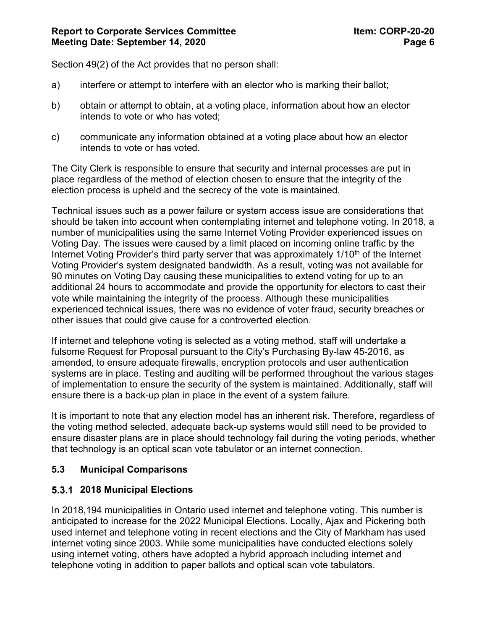Section 49(2) of the Act provides that no person shall:

- a) interfere or attempt to interfere with an elector who is marking their ballot;
- b) obtain or attempt to obtain, at a voting place, information about how an elector intends to vote or who has voted;
- c) communicate any information obtained at a voting place about how an elector intends to vote or has voted.

The City Clerk is responsible to ensure that security and internal processes are put in place regardless of the method of election chosen to ensure that the integrity of the election process is upheld and the secrecy of the vote is maintained.

Technical issues such as a power failure or system access issue are considerations that should be taken into account when contemplating internet and telephone voting. In 2018, a number of municipalities using the same Internet Voting Provider experienced issues on Voting Day. The issues were caused by a limit placed on incoming online traffic by the Internet Voting Provider's third party server that was approximately  $1/10<sup>th</sup>$  of the Internet Voting Provider's system designated bandwidth. As a result, voting was not available for 90 minutes on Voting Day causing these municipalities to extend voting for up to an additional 24 hours to accommodate and provide the opportunity for electors to cast their vote while maintaining the integrity of the process. Although these municipalities experienced technical issues, there was no evidence of voter fraud, security breaches or other issues that could give cause for a controverted election.

If internet and telephone voting is selected as a voting method, staff will undertake a fulsome Request for Proposal pursuant to the City's Purchasing By-law 45-2016, as amended, to ensure adequate firewalls, encryption protocols and user authentication systems are in place. Testing and auditing will be performed throughout the various stages of implementation to ensure the security of the system is maintained. Additionally, staff will ensure there is a back-up plan in place in the event of a system failure.

It is important to note that any election model has an inherent risk. Therefore, regardless of the voting method selected, adequate back-up systems would still need to be provided to ensure disaster plans are in place should technology fail during the voting periods, whether that technology is an optical scan vote tabulator or an internet connection.

### **5.3 Municipal Comparisons**

#### **2018 Municipal Elections**

In 2018,194 municipalities in Ontario used internet and telephone voting. This number is anticipated to increase for the 2022 Municipal Elections. Locally, Ajax and Pickering both used internet and telephone voting in recent elections and the City of Markham has used internet voting since 2003. While some municipalities have conducted elections solely using internet voting, others have adopted a hybrid approach including internet and telephone voting in addition to paper ballots and optical scan vote tabulators.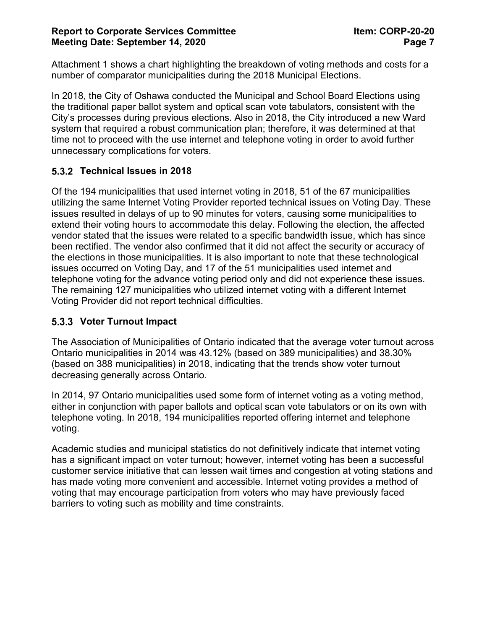Attachment 1 shows a chart highlighting the breakdown of voting methods and costs for a number of comparator municipalities during the 2018 Municipal Elections.

In 2018, the City of Oshawa conducted the Municipal and School Board Elections using the traditional paper ballot system and optical scan vote tabulators, consistent with the City's processes during previous elections. Also in 2018, the City introduced a new Ward system that required a robust communication plan; therefore, it was determined at that time not to proceed with the use internet and telephone voting in order to avoid further unnecessary complications for voters.

### **Technical Issues in 2018**

Of the 194 municipalities that used internet voting in 2018, 51 of the 67 municipalities utilizing the same Internet Voting Provider reported technical issues on Voting Day. These issues resulted in delays of up to 90 minutes for voters, causing some municipalities to extend their voting hours to accommodate this delay. Following the election, the affected vendor stated that the issues were related to a specific bandwidth issue, which has since been rectified. The vendor also confirmed that it did not affect the security or accuracy of the elections in those municipalities. It is also important to note that these technological issues occurred on Voting Day, and 17 of the 51 municipalities used internet and telephone voting for the advance voting period only and did not experience these issues. The remaining 127 municipalities who utilized internet voting with a different Internet Voting Provider did not report technical difficulties.

### **Voter Turnout Impact**

The Association of Municipalities of Ontario indicated that the average voter turnout across Ontario municipalities in 2014 was 43.12% (based on 389 municipalities) and 38.30% (based on 388 municipalities) in 2018, indicating that the trends show voter turnout decreasing generally across Ontario.

In 2014, 97 Ontario municipalities used some form of internet voting as a voting method, either in conjunction with paper ballots and optical scan vote tabulators or on its own with telephone voting. In 2018, 194 municipalities reported offering internet and telephone voting.

Academic studies and municipal statistics do not definitively indicate that internet voting has a significant impact on voter turnout; however, internet voting has been a successful customer service initiative that can lessen wait times and congestion at voting stations and has made voting more convenient and accessible. Internet voting provides a method of voting that may encourage participation from voters who may have previously faced barriers to voting such as mobility and time constraints.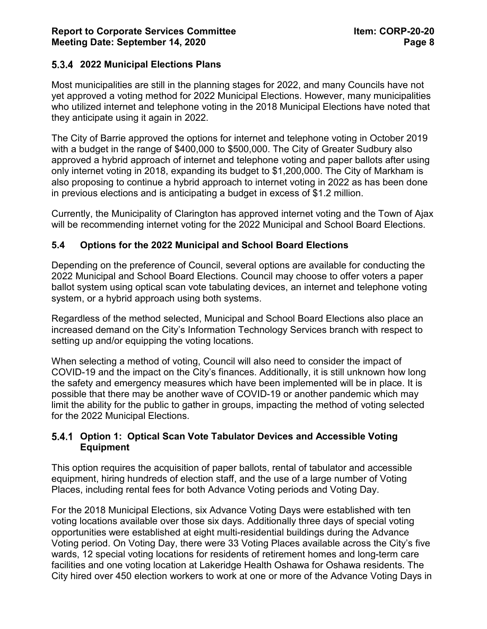### **2022 Municipal Elections Plans**

Most municipalities are still in the planning stages for 2022, and many Councils have not yet approved a voting method for 2022 Municipal Elections. However, many municipalities who utilized internet and telephone voting in the 2018 Municipal Elections have noted that they anticipate using it again in 2022.

The City of Barrie approved the options for internet and telephone voting in October 2019 with a budget in the range of \$400,000 to \$500,000. The City of Greater Sudbury also approved a hybrid approach of internet and telephone voting and paper ballots after using only internet voting in 2018, expanding its budget to \$1,200,000. The City of Markham is also proposing to continue a hybrid approach to internet voting in 2022 as has been done in previous elections and is anticipating a budget in excess of \$1.2 million.

Currently, the Municipality of Clarington has approved internet voting and the Town of Ajax will be recommending internet voting for the 2022 Municipal and School Board Elections.

#### **5.4 Options for the 2022 Municipal and School Board Elections**

Depending on the preference of Council, several options are available for conducting the 2022 Municipal and School Board Elections. Council may choose to offer voters a paper ballot system using optical scan vote tabulating devices, an internet and telephone voting system, or a hybrid approach using both systems.

Regardless of the method selected, Municipal and School Board Elections also place an increased demand on the City's Information Technology Services branch with respect to setting up and/or equipping the voting locations.

When selecting a method of voting, Council will also need to consider the impact of COVID-19 and the impact on the City's finances. Additionally, it is still unknown how long the safety and emergency measures which have been implemented will be in place. It is possible that there may be another wave of COVID-19 or another pandemic which may limit the ability for the public to gather in groups, impacting the method of voting selected for the 2022 Municipal Elections.

#### **Option 1: Optical Scan Vote Tabulator Devices and Accessible Voting Equipment**

This option requires the acquisition of paper ballots, rental of tabulator and accessible equipment, hiring hundreds of election staff, and the use of a large number of Voting Places, including rental fees for both Advance Voting periods and Voting Day.

For the 2018 Municipal Elections, six Advance Voting Days were established with ten voting locations available over those six days. Additionally three days of special voting opportunities were established at eight multi-residential buildings during the Advance Voting period. On Voting Day, there were 33 Voting Places available across the City's five wards, 12 special voting locations for residents of retirement homes and long-term care facilities and one voting location at Lakeridge Health Oshawa for Oshawa residents. The City hired over 450 election workers to work at one or more of the Advance Voting Days in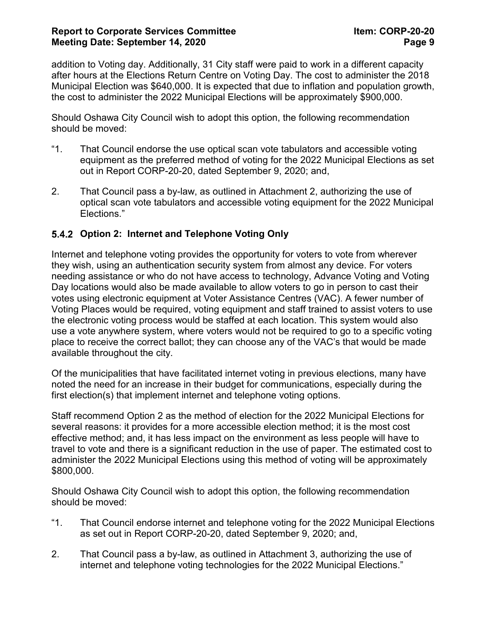#### **Report to Corporate Services Committee Item: CORP-20-20 Meeting Date: September 14, 2020 Page 9**

addition to Voting day. Additionally, 31 City staff were paid to work in a different capacity after hours at the Elections Return Centre on Voting Day. The cost to administer the 2018 Municipal Election was \$640,000. It is expected that due to inflation and population growth, the cost to administer the 2022 Municipal Elections will be approximately \$900,000.

Should Oshawa City Council wish to adopt this option, the following recommendation should be moved:

- "1. That Council endorse the use optical scan vote tabulators and accessible voting equipment as the preferred method of voting for the 2022 Municipal Elections as set out in Report CORP-20-20, dated September 9, 2020; and,
- 2. That Council pass a by-law, as outlined in Attachment 2, authorizing the use of optical scan vote tabulators and accessible voting equipment for the 2022 Municipal Elections."

### **Option 2: Internet and Telephone Voting Only**

Internet and telephone voting provides the opportunity for voters to vote from wherever they wish, using an authentication security system from almost any device. For voters needing assistance or who do not have access to technology, Advance Voting and Voting Day locations would also be made available to allow voters to go in person to cast their votes using electronic equipment at Voter Assistance Centres (VAC). A fewer number of Voting Places would be required, voting equipment and staff trained to assist voters to use the electronic voting process would be staffed at each location. This system would also use a vote anywhere system, where voters would not be required to go to a specific voting place to receive the correct ballot; they can choose any of the VAC's that would be made available throughout the city.

Of the municipalities that have facilitated internet voting in previous elections, many have noted the need for an increase in their budget for communications, especially during the first election(s) that implement internet and telephone voting options.

Staff recommend Option 2 as the method of election for the 2022 Municipal Elections for several reasons: it provides for a more accessible election method; it is the most cost effective method; and, it has less impact on the environment as less people will have to travel to vote and there is a significant reduction in the use of paper. The estimated cost to administer the 2022 Municipal Elections using this method of voting will be approximately \$800,000.

Should Oshawa City Council wish to adopt this option, the following recommendation should be moved:

- "1. That Council endorse internet and telephone voting for the 2022 Municipal Elections as set out in Report CORP-20-20, dated September 9, 2020; and,
- 2. That Council pass a by-law, as outlined in Attachment 3, authorizing the use of internet and telephone voting technologies for the 2022 Municipal Elections."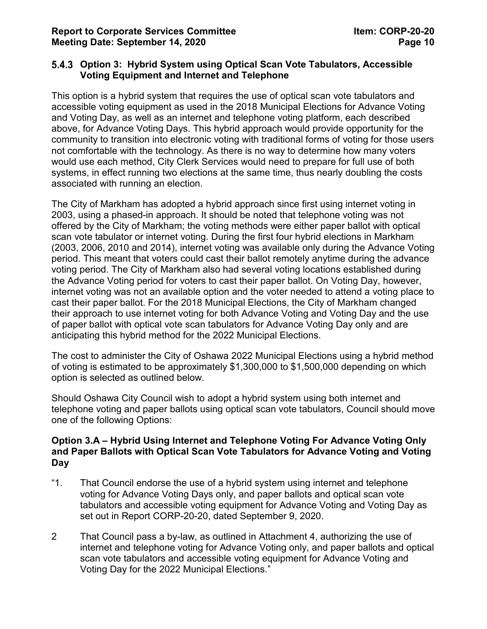#### **Option 3: Hybrid System using Optical Scan Vote Tabulators, Accessible Voting Equipment and Internet and Telephone**

This option is a hybrid system that requires the use of optical scan vote tabulators and accessible voting equipment as used in the 2018 Municipal Elections for Advance Voting and Voting Day, as well as an internet and telephone voting platform, each described above, for Advance Voting Days. This hybrid approach would provide opportunity for the community to transition into electronic voting with traditional forms of voting for those users not comfortable with the technology. As there is no way to determine how many voters would use each method, City Clerk Services would need to prepare for full use of both systems, in effect running two elections at the same time, thus nearly doubling the costs associated with running an election.

The City of Markham has adopted a hybrid approach since first using internet voting in 2003, using a phased-in approach. It should be noted that telephone voting was not offered by the City of Markham; the voting methods were either paper ballot with optical scan vote tabulator or internet voting. During the first four hybrid elections in Markham (2003, 2006, 2010 and 2014), internet voting was available only during the Advance Voting period. This meant that voters could cast their ballot remotely anytime during the advance voting period. The City of Markham also had several voting locations established during the Advance Voting period for voters to cast their paper ballot. On Voting Day, however, internet voting was not an available option and the voter needed to attend a voting place to cast their paper ballot. For the 2018 Municipal Elections, the City of Markham changed their approach to use internet voting for both Advance Voting and Voting Day and the use of paper ballot with optical vote scan tabulators for Advance Voting Day only and are anticipating this hybrid method for the 2022 Municipal Elections.

The cost to administer the City of Oshawa 2022 Municipal Elections using a hybrid method of voting is estimated to be approximately \$1,300,000 to \$1,500,000 depending on which option is selected as outlined below.

Should Oshawa City Council wish to adopt a hybrid system using both internet and telephone voting and paper ballots using optical scan vote tabulators, Council should move one of the following Options:

#### **Option 3.A – Hybrid Using Internet and Telephone Voting For Advance Voting Only and Paper Ballots with Optical Scan Vote Tabulators for Advance Voting and Voting Day**

- "1. That Council endorse the use of a hybrid system using internet and telephone voting for Advance Voting Days only, and paper ballots and optical scan vote tabulators and accessible voting equipment for Advance Voting and Voting Day as set out in Report CORP-20-20, dated September 9, 2020.
- 2 That Council pass a by-law, as outlined in Attachment 4, authorizing the use of internet and telephone voting for Advance Voting only, and paper ballots and optical scan vote tabulators and accessible voting equipment for Advance Voting and Voting Day for the 2022 Municipal Elections."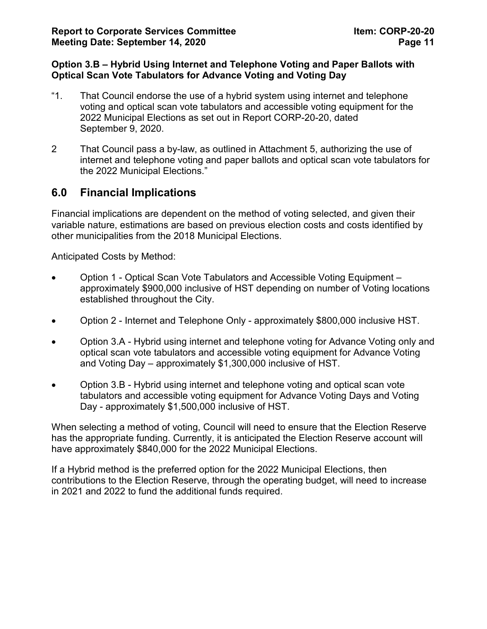#### **Option 3.B – Hybrid Using Internet and Telephone Voting and Paper Ballots with Optical Scan Vote Tabulators for Advance Voting and Voting Day**

- "1. That Council endorse the use of a hybrid system using internet and telephone voting and optical scan vote tabulators and accessible voting equipment for the 2022 Municipal Elections as set out in Report CORP-20-20, dated September 9, 2020.
- 2 That Council pass a by-law, as outlined in Attachment 5, authorizing the use of internet and telephone voting and paper ballots and optical scan vote tabulators for the 2022 Municipal Elections."

## **6.0 Financial Implications**

Financial implications are dependent on the method of voting selected, and given their variable nature, estimations are based on previous election costs and costs identified by other municipalities from the 2018 Municipal Elections.

Anticipated Costs by Method:

- Option 1 Optical Scan Vote Tabulators and Accessible Voting Equipment approximately \$900,000 inclusive of HST depending on number of Voting locations established throughout the City.
- Option 2 Internet and Telephone Only approximately \$800,000 inclusive HST.
- Option 3.A Hybrid using internet and telephone voting for Advance Voting only and optical scan vote tabulators and accessible voting equipment for Advance Voting and Voting Day – approximately \$1,300,000 inclusive of HST.
- Option 3.B Hybrid using internet and telephone voting and optical scan vote tabulators and accessible voting equipment for Advance Voting Days and Voting Day - approximately \$1,500,000 inclusive of HST.

When selecting a method of voting, Council will need to ensure that the Election Reserve has the appropriate funding. Currently, it is anticipated the Election Reserve account will have approximately \$840,000 for the 2022 Municipal Elections.

If a Hybrid method is the preferred option for the 2022 Municipal Elections, then contributions to the Election Reserve, through the operating budget, will need to increase in 2021 and 2022 to fund the additional funds required.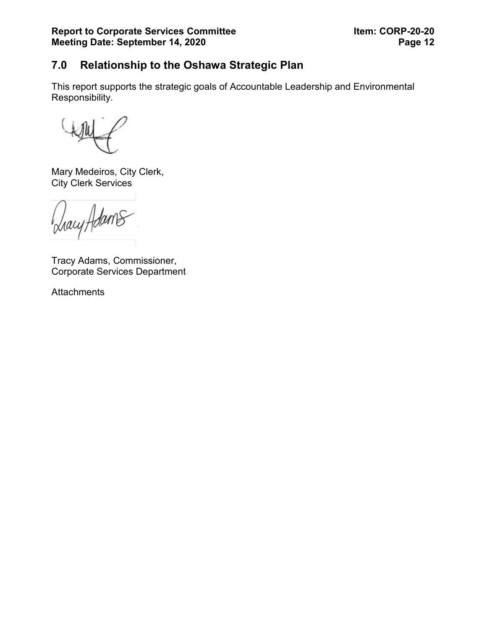# **7.0 Relationship to the Oshawa Strategic Plan**

This report supports the strategic goals of Accountable Leadership and Environmental Responsibility.

Mary Medeiros, City Clerk, City Clerk Services

hacy Adams

Tracy Adams, Commissioner, Corporate Services Department

**Attachments**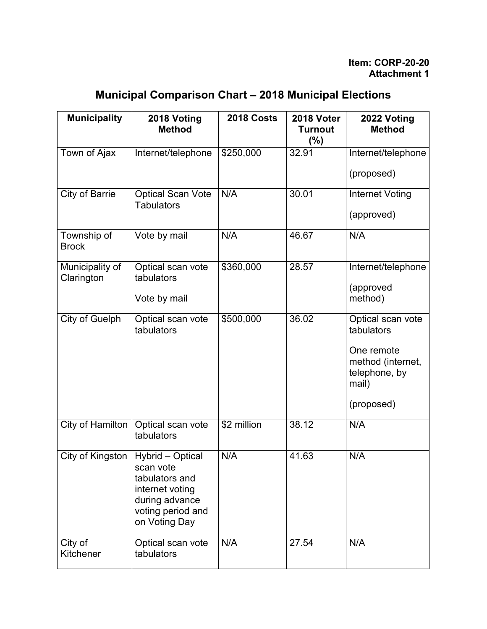| <b>Municipal Comparison Chart - 2018 Municipal Elections</b> |  |  |
|--------------------------------------------------------------|--|--|
|--------------------------------------------------------------|--|--|

| <b>Municipality</b>           | 2018 Voting<br><b>Method</b>                                                                                               | 2018 Costs  | 2018 Voter<br><b>Turnout</b><br>$(\%)$ | 2022 Voting<br><b>Method</b>                              |
|-------------------------------|----------------------------------------------------------------------------------------------------------------------------|-------------|----------------------------------------|-----------------------------------------------------------|
| Town of Ajax                  | Internet/telephone                                                                                                         | \$250,000   | 32.91                                  | Internet/telephone                                        |
|                               |                                                                                                                            |             |                                        | (proposed)                                                |
| <b>City of Barrie</b>         | <b>Optical Scan Vote</b><br><b>Tabulators</b>                                                                              | N/A         | 30.01                                  | <b>Internet Voting</b><br>(approved)                      |
|                               |                                                                                                                            |             |                                        |                                                           |
| Township of<br><b>Brock</b>   | Vote by mail                                                                                                               | N/A         | 46.67                                  | N/A                                                       |
| Municipality of<br>Clarington | Optical scan vote<br>tabulators                                                                                            | \$360,000   | 28.57                                  | Internet/telephone                                        |
|                               | Vote by mail                                                                                                               |             |                                        | (approved<br>method)                                      |
| City of Guelph                | Optical scan vote<br>tabulators                                                                                            | \$500,000   | 36.02                                  | Optical scan vote<br>tabulators                           |
|                               |                                                                                                                            |             |                                        | One remote<br>method (internet,<br>telephone, by<br>mail) |
|                               |                                                                                                                            |             |                                        | (proposed)                                                |
| City of Hamilton              | Optical scan vote<br>tabulators                                                                                            | \$2 million | 38.12                                  | N/A                                                       |
| City of Kingston              | Hybrid - Optical<br>scan vote<br>tabulators and<br>internet voting<br>during advance<br>voting period and<br>on Voting Day | N/A         | 41.63                                  | N/A                                                       |
| City of<br>Kitchener          | Optical scan vote<br>tabulators                                                                                            | N/A         | 27.54                                  | N/A                                                       |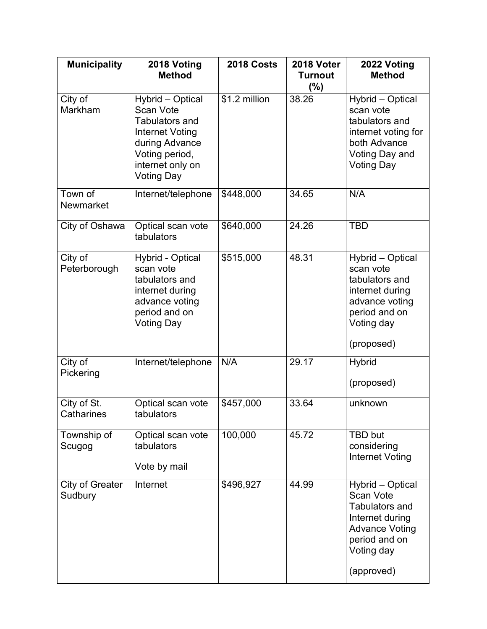| <b>Municipality</b>               | 2018 Voting<br><b>Method</b>                                                                                                                                  | 2018 Costs    | 2018 Voter<br><b>Turnout</b><br>$(\%)$ | 2022 Voting<br><b>Method</b>                                                                                                                           |
|-----------------------------------|---------------------------------------------------------------------------------------------------------------------------------------------------------------|---------------|----------------------------------------|--------------------------------------------------------------------------------------------------------------------------------------------------------|
| City of<br>Markham                | Hybrid - Optical<br><b>Scan Vote</b><br><b>Tabulators and</b><br>Internet Voting<br>during Advance<br>Voting period,<br>internet only on<br><b>Voting Day</b> | \$1.2 million | 38.26                                  | Hybrid - Optical<br>scan vote<br>tabulators and<br>internet voting for<br>both Advance<br>Voting Day and<br><b>Voting Day</b>                          |
| Town of<br>Newmarket              | Internet/telephone                                                                                                                                            | \$448,000     | 34.65                                  | N/A                                                                                                                                                    |
| City of Oshawa                    | Optical scan vote<br>tabulators                                                                                                                               | \$640,000     | 24.26                                  | <b>TBD</b>                                                                                                                                             |
| City of<br>Peterborough           | <b>Hybrid - Optical</b><br>scan vote<br>tabulators and<br>internet during<br>advance voting<br>period and on<br><b>Voting Day</b>                             | \$515,000     | 48.31                                  | Hybrid - Optical<br>scan vote<br>tabulators and<br>internet during<br>advance voting<br>period and on<br>Voting day<br>(proposed)                      |
| City of<br>Pickering              | Internet/telephone                                                                                                                                            | N/A           | 29.17                                  | <b>Hybrid</b><br>(proposed)                                                                                                                            |
| City of St.<br>Catharines         | Optical scan vote<br>tabulators                                                                                                                               | \$457,000     | 33.64                                  | unknown                                                                                                                                                |
| Township of<br>Scugog             | Optical scan vote<br>tabulators<br>Vote by mail                                                                                                               | 100,000       | 45.72                                  | <b>TBD but</b><br>considering<br><b>Internet Voting</b>                                                                                                |
| <b>City of Greater</b><br>Sudbury | Internet                                                                                                                                                      | \$496,927     | 44.99                                  | Hybrid - Optical<br><b>Scan Vote</b><br><b>Tabulators and</b><br>Internet during<br><b>Advance Voting</b><br>period and on<br>Voting day<br>(approved) |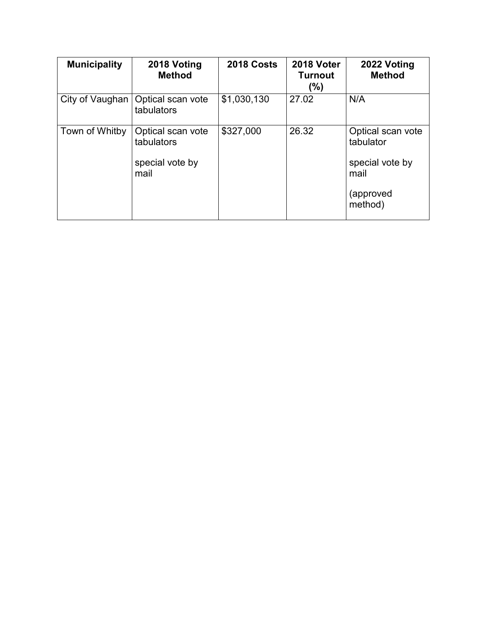| <b>Municipality</b> | 2018 Voting<br><b>Method</b>                               | 2018 Costs  | 2018 Voter<br><b>Turnout</b><br>(%) | 2022 Voting<br><b>Method</b>                                           |
|---------------------|------------------------------------------------------------|-------------|-------------------------------------|------------------------------------------------------------------------|
| City of Vaughan     | Optical scan vote<br>tabulators                            | \$1,030,130 | 27.02                               | N/A                                                                    |
| Town of Whitby      | Optical scan vote<br>tabulators<br>special vote by<br>mail | \$327,000   | 26.32                               | Optical scan vote<br>tabulator<br>special vote by<br>mail<br>(approved |
|                     |                                                            |             |                                     | method)                                                                |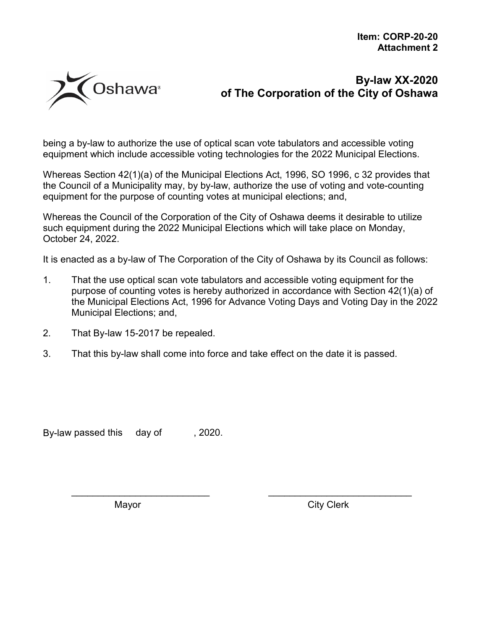

being a by-law to authorize the use of optical scan vote tabulators and accessible voting equipment which include accessible voting technologies for the 2022 Municipal Elections.

Whereas Section 42(1)(a) of the Municipal Elections Act, 1996, SO 1996, c 32 provides that the Council of a Municipality may, by by-law, authorize the use of voting and vote-counting equipment for the purpose of counting votes at municipal elections; and,

Whereas the Council of the Corporation of the City of Oshawa deems it desirable to utilize such equipment during the 2022 Municipal Elections which will take place on Monday, October 24, 2022.

It is enacted as a by-law of The Corporation of the City of Oshawa by its Council as follows:

1. That the use optical scan vote tabulators and accessible voting equipment for the purpose of counting votes is hereby authorized in accordance with Section 42(1)(a) of the Municipal Elections Act, 1996 for Advance Voting Days and Voting Day in the 2022 Municipal Elections; and,

\_\_\_\_\_\_\_\_\_\_\_\_\_\_\_\_\_\_\_\_\_\_\_\_\_\_ \_\_\_\_\_\_\_\_\_\_\_\_\_\_\_\_\_\_\_\_\_\_\_\_\_\_\_

- 2. That By-law 15-2017 be repealed.
- 3. That this by-law shall come into force and take effect on the date it is passed.

By-law passed this day of , 2020.

Mayor **Mayor** City Clerk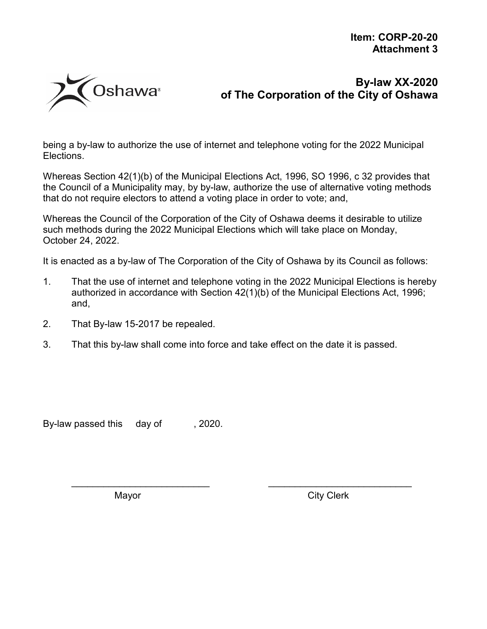

being a by-law to authorize the use of internet and telephone voting for the 2022 Municipal Elections.

Whereas Section 42(1)(b) of the Municipal Elections Act, 1996, SO 1996, c 32 provides that the Council of a Municipality may, by by-law, authorize the use of alternative voting methods that do not require electors to attend a voting place in order to vote; and,

Whereas the Council of the Corporation of the City of Oshawa deems it desirable to utilize such methods during the 2022 Municipal Elections which will take place on Monday, October 24, 2022.

It is enacted as a by-law of The Corporation of the City of Oshawa by its Council as follows:

1. That the use of internet and telephone voting in the 2022 Municipal Elections is hereby authorized in accordance with Section 42(1)(b) of the Municipal Elections Act, 1996; and,

\_\_\_\_\_\_\_\_\_\_\_\_\_\_\_\_\_\_\_\_\_\_\_\_\_\_ \_\_\_\_\_\_\_\_\_\_\_\_\_\_\_\_\_\_\_\_\_\_\_\_\_\_\_

- 2. That By-law 15-2017 be repealed.
- 3. That this by-law shall come into force and take effect on the date it is passed.

By-law passed this day of , 2020.

Mayor **Mayor** City Clerk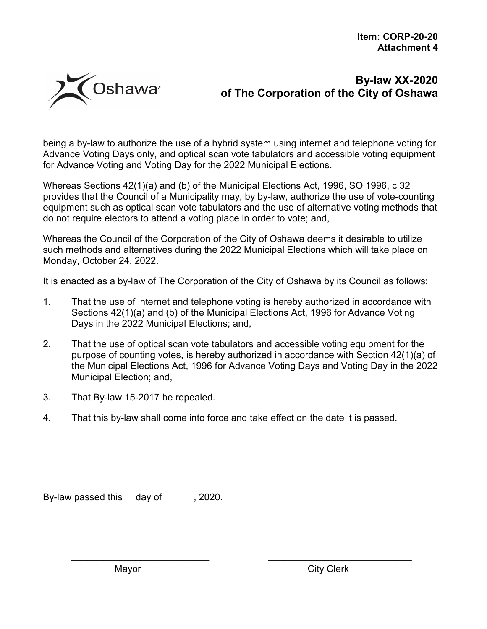

being a by-law to authorize the use of a hybrid system using internet and telephone voting for Advance Voting Days only, and optical scan vote tabulators and accessible voting equipment for Advance Voting and Voting Day for the 2022 Municipal Elections.

Whereas Sections 42(1)(a) and (b) of the Municipal Elections Act, 1996, SO 1996, c 32 provides that the Council of a Municipality may, by by-law, authorize the use of vote-counting equipment such as optical scan vote tabulators and the use of alternative voting methods that do not require electors to attend a voting place in order to vote; and,

Whereas the Council of the Corporation of the City of Oshawa deems it desirable to utilize such methods and alternatives during the 2022 Municipal Elections which will take place on Monday, October 24, 2022.

It is enacted as a by-law of The Corporation of the City of Oshawa by its Council as follows:

- 1. That the use of internet and telephone voting is hereby authorized in accordance with Sections 42(1)(a) and (b) of the Municipal Elections Act, 1996 for Advance Voting Days in the 2022 Municipal Elections; and,
- 2. That the use of optical scan vote tabulators and accessible voting equipment for the purpose of counting votes, is hereby authorized in accordance with Section 42(1)(a) of the Municipal Elections Act, 1996 for Advance Voting Days and Voting Day in the 2022 Municipal Election; and,

\_\_\_\_\_\_\_\_\_\_\_\_\_\_\_\_\_\_\_\_\_\_\_\_\_\_ \_\_\_\_\_\_\_\_\_\_\_\_\_\_\_\_\_\_\_\_\_\_\_\_\_\_\_

- 3. That By-law 15-2017 be repealed.
- 4. That this by-law shall come into force and take effect on the date it is passed.

By-law passed this day of , 2020.